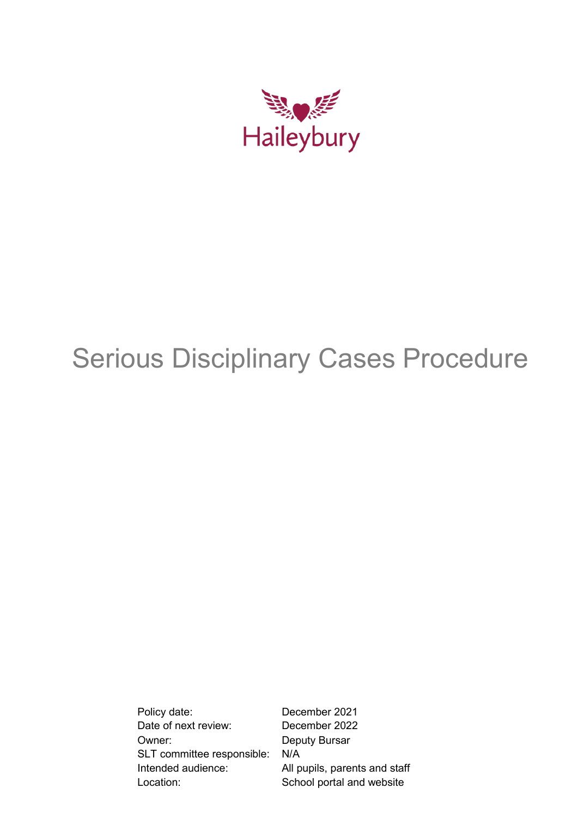

# Serious Disciplinary Cases Procedure

Policy date: December 2021 Date of next review: December 2022 Owner: Deputy Bursar SLT committee responsible: N/A Intended audience: All pupils, parents and staff Location: School portal and website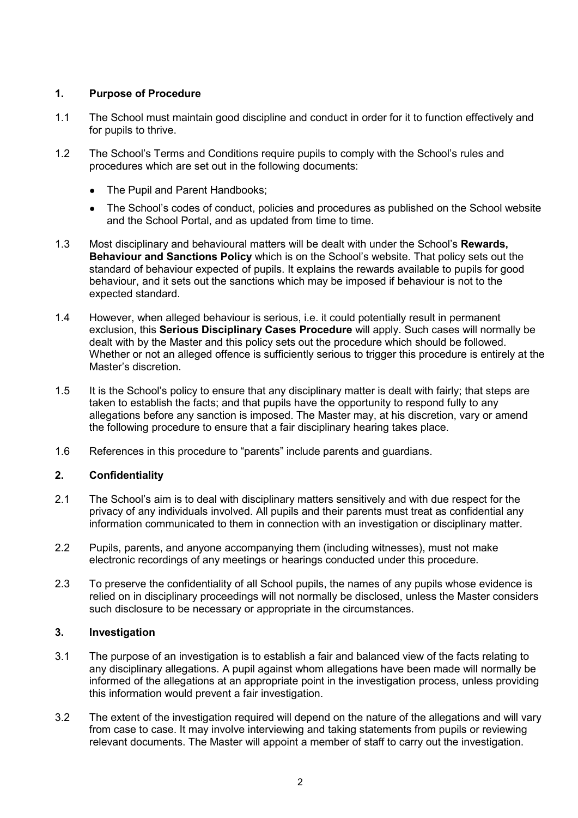# **1. Purpose of Procedure**

- 1.1 The School must maintain good discipline and conduct in order for it to function effectively and for pupils to thrive.
- 1.2 The School's Terms and Conditions require pupils to comply with the School's rules and procedures which are set out in the following documents:
	- The Pupil and Parent Handbooks;
	- The School's codes of conduct, policies and procedures as published on the School website and the School Portal, and as updated from time to time.
- 1.3 Most disciplinary and behavioural matters will be dealt with under the School's **Rewards, Behaviour and Sanctions Policy** which is on the School's website. That policy sets out the standard of behaviour expected of pupils. It explains the rewards available to pupils for good behaviour, and it sets out the sanctions which may be imposed if behaviour is not to the expected standard.
- 1.4 However, when alleged behaviour is serious, i.e. it could potentially result in permanent exclusion, this **Serious Disciplinary Cases Procedure** will apply. Such cases will normally be dealt with by the Master and this policy sets out the procedure which should be followed. Whether or not an alleged offence is sufficiently serious to trigger this procedure is entirely at the Master's discretion.
- 1.5 It is the School's policy to ensure that any disciplinary matter is dealt with fairly; that steps are taken to establish the facts; and that pupils have the opportunity to respond fully to any allegations before any sanction is imposed. The Master may, at his discretion, vary or amend the following procedure to ensure that a fair disciplinary hearing takes place.
- 1.6 References in this procedure to "parents" include parents and guardians.

## **2. Confidentiality**

- 2.1 The School's aim is to deal with disciplinary matters sensitively and with due respect for the privacy of any individuals involved. All pupils and their parents must treat as confidential any information communicated to them in connection with an investigation or disciplinary matter.
- 2.2 Pupils, parents, and anyone accompanying them (including witnesses), must not make electronic recordings of any meetings or hearings conducted under this procedure.
- 2.3 To preserve the confidentiality of all School pupils, the names of any pupils whose evidence is relied on in disciplinary proceedings will not normally be disclosed, unless the Master considers such disclosure to be necessary or appropriate in the circumstances.

# **3. Investigation**

- 3.1 The purpose of an investigation is to establish a fair and balanced view of the facts relating to any disciplinary allegations. A pupil against whom allegations have been made will normally be informed of the allegations at an appropriate point in the investigation process, unless providing this information would prevent a fair investigation.
- 3.2 The extent of the investigation required will depend on the nature of the allegations and will vary from case to case. It may involve interviewing and taking statements from pupils or reviewing relevant documents. The Master will appoint a member of staff to carry out the investigation.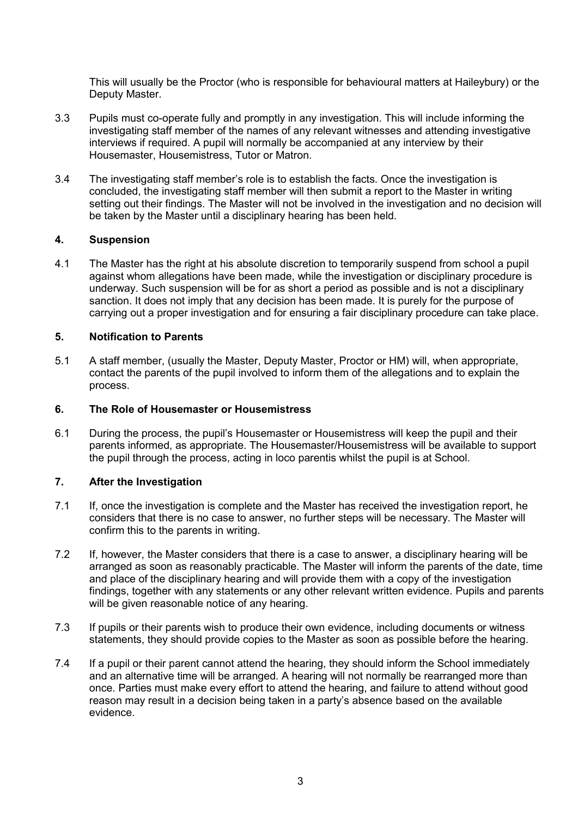This will usually be the Proctor (who is responsible for behavioural matters at Haileybury) or the Deputy Master.

- 3.3 Pupils must co-operate fully and promptly in any investigation. This will include informing the investigating staff member of the names of any relevant witnesses and attending investigative interviews if required. A pupil will normally be accompanied at any interview by their Housemaster, Housemistress, Tutor or Matron.
- 3.4 The investigating staff member's role is to establish the facts. Once the investigation is concluded, the investigating staff member will then submit a report to the Master in writing setting out their findings. The Master will not be involved in the investigation and no decision will be taken by the Master until a disciplinary hearing has been held.

#### **4. Suspension**

4.1 The Master has the right at his absolute discretion to temporarily suspend from school a pupil against whom allegations have been made, while the investigation or disciplinary procedure is underway. Such suspension will be for as short a period as possible and is not a disciplinary sanction. It does not imply that any decision has been made. It is purely for the purpose of carrying out a proper investigation and for ensuring a fair disciplinary procedure can take place.

#### **5. Notification to Parents**

5.1 A staff member, (usually the Master, Deputy Master, Proctor or HM) will, when appropriate, contact the parents of the pupil involved to inform them of the allegations and to explain the process.

#### **6. The Role of Housemaster or Housemistress**

6.1 During the process, the pupil's Housemaster or Housemistress will keep the pupil and their parents informed, as appropriate. The Housemaster/Housemistress will be available to support the pupil through the process, acting in loco parentis whilst the pupil is at School.

#### **7. After the Investigation**

- 7.1 If, once the investigation is complete and the Master has received the investigation report, he considers that there is no case to answer, no further steps will be necessary. The Master will confirm this to the parents in writing.
- 7.2 If, however, the Master considers that there is a case to answer, a disciplinary hearing will be arranged as soon as reasonably practicable. The Master will inform the parents of the date, time and place of the disciplinary hearing and will provide them with a copy of the investigation findings, together with any statements or any other relevant written evidence. Pupils and parents will be given reasonable notice of any hearing.
- 7.3 If pupils or their parents wish to produce their own evidence, including documents or witness statements, they should provide copies to the Master as soon as possible before the hearing.
- 7.4 If a pupil or their parent cannot attend the hearing, they should inform the School immediately and an alternative time will be arranged. A hearing will not normally be rearranged more than once. Parties must make every effort to attend the hearing, and failure to attend without good reason may result in a decision being taken in a party's absence based on the available evidence.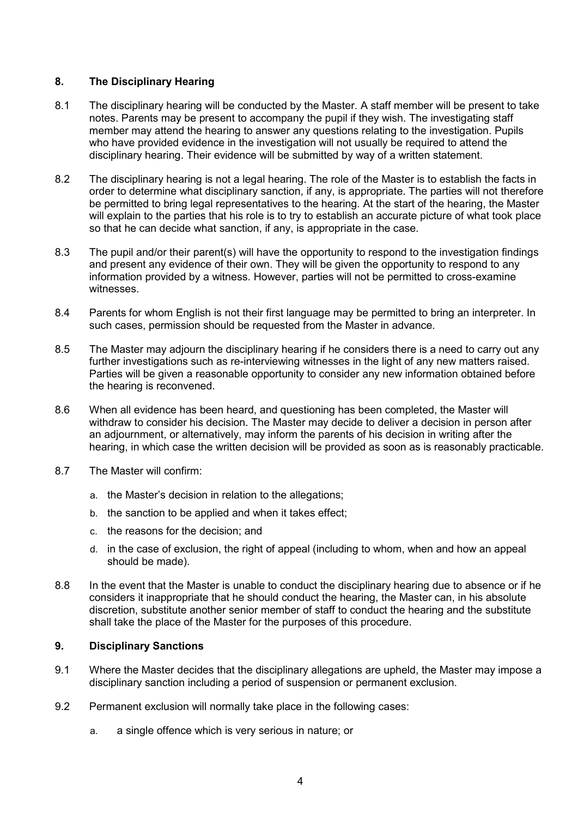# **8. The Disciplinary Hearing**

- 8.1 The disciplinary hearing will be conducted by the Master. A staff member will be present to take notes. Parents may be present to accompany the pupil if they wish. The investigating staff member may attend the hearing to answer any questions relating to the investigation. Pupils who have provided evidence in the investigation will not usually be required to attend the disciplinary hearing. Their evidence will be submitted by way of a written statement.
- 8.2 The disciplinary hearing is not a legal hearing. The role of the Master is to establish the facts in order to determine what disciplinary sanction, if any, is appropriate. The parties will not therefore be permitted to bring legal representatives to the hearing. At the start of the hearing, the Master will explain to the parties that his role is to try to establish an accurate picture of what took place so that he can decide what sanction, if any, is appropriate in the case.
- 8.3 The pupil and/or their parent(s) will have the opportunity to respond to the investigation findings and present any evidence of their own. They will be given the opportunity to respond to any information provided by a witness. However, parties will not be permitted to cross-examine witnesses.
- 8.4 Parents for whom English is not their first language may be permitted to bring an interpreter. In such cases, permission should be requested from the Master in advance.
- 8.5 The Master may adjourn the disciplinary hearing if he considers there is a need to carry out any further investigations such as re-interviewing witnesses in the light of any new matters raised. Parties will be given a reasonable opportunity to consider any new information obtained before the hearing is reconvened.
- 8.6 When all evidence has been heard, and questioning has been completed, the Master will withdraw to consider his decision. The Master may decide to deliver a decision in person after an adjournment, or alternatively, may inform the parents of his decision in writing after the hearing, in which case the written decision will be provided as soon as is reasonably practicable.
- 8.7 The Master will confirm:
	- a. the Master's decision in relation to the allegations;
	- b. the sanction to be applied and when it takes effect;
	- c. the reasons for the decision; and
	- d. in the case of exclusion, the right of appeal (including to whom, when and how an appeal should be made).
- 8.8 In the event that the Master is unable to conduct the disciplinary hearing due to absence or if he considers it inappropriate that he should conduct the hearing, the Master can, in his absolute discretion, substitute another senior member of staff to conduct the hearing and the substitute shall take the place of the Master for the purposes of this procedure.

## **9. Disciplinary Sanctions**

- 9.1 Where the Master decides that the disciplinary allegations are upheld, the Master may impose a disciplinary sanction including a period of suspension or permanent exclusion.
- 9.2 Permanent exclusion will normally take place in the following cases:
	- a. a single offence which is very serious in nature; or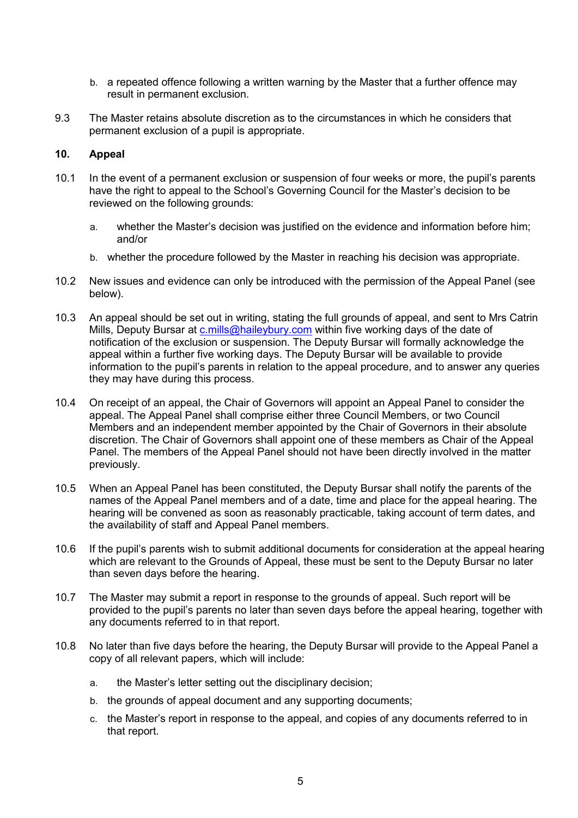- b. a repeated offence following a written warning by the Master that a further offence may result in permanent exclusion.
- 9.3 The Master retains absolute discretion as to the circumstances in which he considers that permanent exclusion of a pupil is appropriate.

## **10. Appeal**

- 10.1 In the event of a permanent exclusion or suspension of four weeks or more, the pupil's parents have the right to appeal to the School's Governing Council for the Master's decision to be reviewed on the following grounds:
	- a. whether the Master's decision was justified on the evidence and information before him; and/or
	- b. whether the procedure followed by the Master in reaching his decision was appropriate.
- 10.2 New issues and evidence can only be introduced with the permission of the Appeal Panel (see below).
- 10.3 An appeal should be set out in writing, stating the full grounds of appeal, and sent to Mrs Catrin Mills, Deputy Bursar at [c.mills@haileybury.com](mailto:c.mills@haileybury.com) within five working days of the date of notification of the exclusion or suspension. The Deputy Bursar will formally acknowledge the appeal within a further five working days. The Deputy Bursar will be available to provide information to the pupil's parents in relation to the appeal procedure, and to answer any queries they may have during this process.
- 10.4 On receipt of an appeal, the Chair of Governors will appoint an Appeal Panel to consider the appeal. The Appeal Panel shall comprise either three Council Members, or two Council Members and an independent member appointed by the Chair of Governors in their absolute discretion. The Chair of Governors shall appoint one of these members as Chair of the Appeal Panel. The members of the Appeal Panel should not have been directly involved in the matter previously.
- 10.5 When an Appeal Panel has been constituted, the Deputy Bursar shall notify the parents of the names of the Appeal Panel members and of a date, time and place for the appeal hearing. The hearing will be convened as soon as reasonably practicable, taking account of term dates, and the availability of staff and Appeal Panel members.
- 10.6 If the pupil's parents wish to submit additional documents for consideration at the appeal hearing which are relevant to the Grounds of Appeal, these must be sent to the Deputy Bursar no later than seven days before the hearing.
- 10.7 The Master may submit a report in response to the grounds of appeal. Such report will be provided to the pupil's parents no later than seven days before the appeal hearing, together with any documents referred to in that report.
- 10.8 No later than five days before the hearing, the Deputy Bursar will provide to the Appeal Panel a copy of all relevant papers, which will include:
	- a. the Master's letter setting out the disciplinary decision;
	- b. the grounds of appeal document and any supporting documents;
	- c. the Master's report in response to the appeal, and copies of any documents referred to in that report.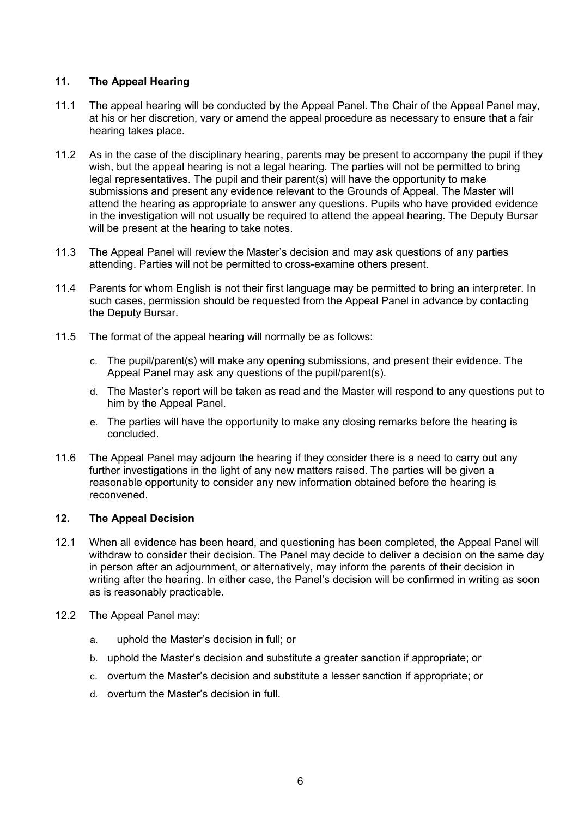# **11. The Appeal Hearing**

- 11.1 The appeal hearing will be conducted by the Appeal Panel. The Chair of the Appeal Panel may, at his or her discretion, vary or amend the appeal procedure as necessary to ensure that a fair hearing takes place.
- 11.2 As in the case of the disciplinary hearing, parents may be present to accompany the pupil if they wish, but the appeal hearing is not a legal hearing. The parties will not be permitted to bring legal representatives. The pupil and their parent(s) will have the opportunity to make submissions and present any evidence relevant to the Grounds of Appeal. The Master will attend the hearing as appropriate to answer any questions. Pupils who have provided evidence in the investigation will not usually be required to attend the appeal hearing. The Deputy Bursar will be present at the hearing to take notes.
- 11.3 The Appeal Panel will review the Master's decision and may ask questions of any parties attending. Parties will not be permitted to cross-examine others present.
- 11.4 Parents for whom English is not their first language may be permitted to bring an interpreter. In such cases, permission should be requested from the Appeal Panel in advance by contacting the Deputy Bursar.
- 11.5 The format of the appeal hearing will normally be as follows:
	- c. The pupil/parent(s) will make any opening submissions, and present their evidence. The Appeal Panel may ask any questions of the pupil/parent(s).
	- d. The Master's report will be taken as read and the Master will respond to any questions put to him by the Appeal Panel.
	- e. The parties will have the opportunity to make any closing remarks before the hearing is concluded.
- 11.6 The Appeal Panel may adjourn the hearing if they consider there is a need to carry out any further investigations in the light of any new matters raised. The parties will be given a reasonable opportunity to consider any new information obtained before the hearing is reconvened.

## **12. The Appeal Decision**

- 12.1 When all evidence has been heard, and questioning has been completed, the Appeal Panel will withdraw to consider their decision. The Panel may decide to deliver a decision on the same day in person after an adjournment, or alternatively, may inform the parents of their decision in writing after the hearing. In either case, the Panel's decision will be confirmed in writing as soon as is reasonably practicable.
- 12.2 The Appeal Panel may:
	- a. uphold the Master's decision in full; or
	- b. uphold the Master's decision and substitute a greater sanction if appropriate; or
	- c. overturn the Master's decision and substitute a lesser sanction if appropriate; or
	- d. overturn the Master's decision in full.